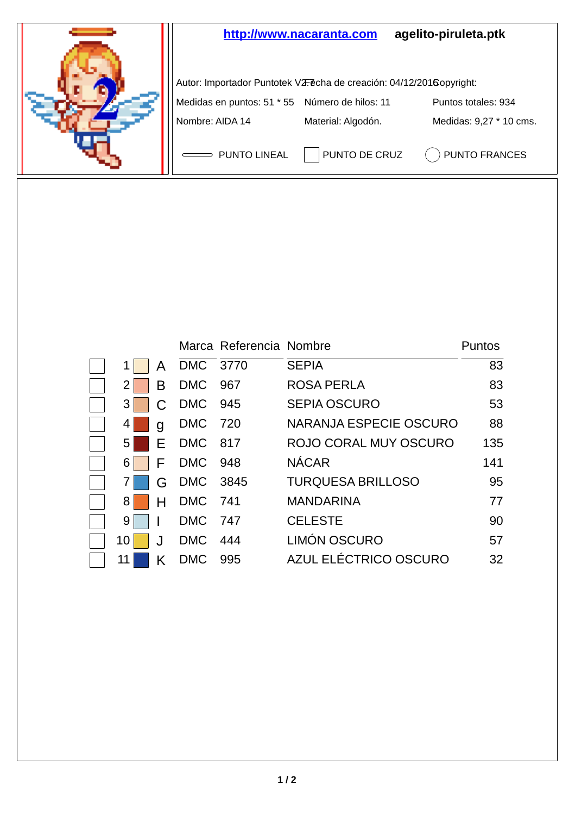

|      |   |            | Marca Referencia Nombre |                          | Puntos |
|------|---|------------|-------------------------|--------------------------|--------|
|      | А | DMC 3770   |                         | <b>SEPIA</b>             | 83     |
|      | в | <b>DMC</b> | 967                     | ROSA PERLA               | 83     |
| 3    |   | <b>DMC</b> | 945                     | <b>SEPIA OSCURO</b>      | 53     |
| 4    | a | <b>DMC</b> | 720                     | NARANJA ESPECIE OSCURO   | 88     |
| 5    | F | DMC 817    |                         | ROJO CORAL MUY OSCURO    | 135    |
| 6    | F | <b>DMC</b> | 948                     | <b>NÁCAR</b>             | 141    |
|      | G | DMC 3845   |                         | <b>TURQUESA BRILLOSO</b> | 95     |
| 8    |   | DMC 741    |                         | <b>MANDARINA</b>         | 77     |
| 9    |   | <b>DMC</b> | 747                     | <b>CELESTE</b>           | 90     |
| 10 I |   | <b>DMC</b> | 444                     | LIMÓN OSCURO             | 57     |
| 11   |   | <b>DMC</b> | 995                     | AZUL ELÉCTRICO OSCURO    | 32     |